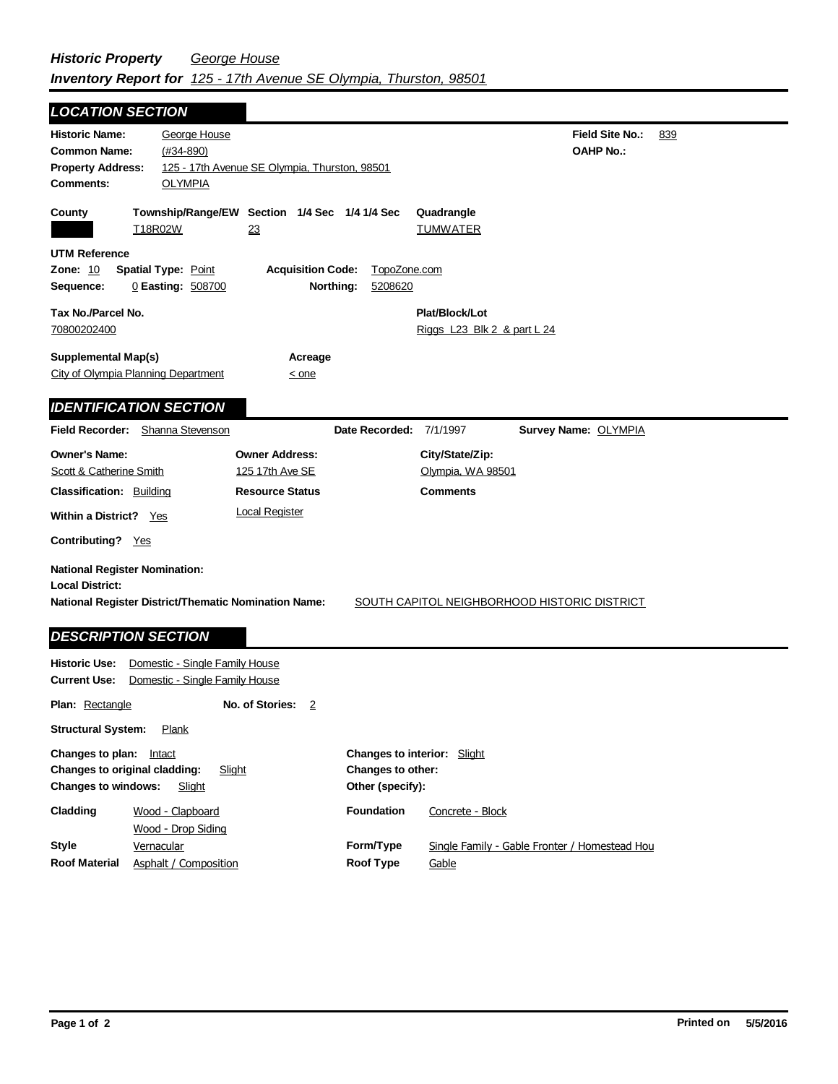**Field Site No.:** 839 **OAHP No.: Historic Name:** George House **Common Name:** (#34-890) **County Plat/Block/Lot** Riggs L23 Blk 2 & part L 24 **Acreage**  $\leq$  one **Supplemental Map(s)** City of Olympia Planning Department **Tax No./Parcel No.** 70800202400 **Property Address:** 125 - 17th Avenue SE Olympia, Thurston, 98501 *LOCATION SECTION* **Comments:** OLYMPIA **Quadrangle UTM Reference Township/Range/EW Section 1/4 Sec 1/4 1/4 Sec Owner Address:** 125 17th Ave SE **Field Recorder:** Shanna Stevenson **Owner's Name: Scott & Catherine Smith City/State/Zip:** Olympia, WA 98501 **National Register District/Thematic Nomination Name:** SOUTH CAPITOL NEIGHBORHOOD HISTORIC DISTRICT **Local District: Date Recorded:** 7/1/1997 **Classification:** Building Within a District? Yes **Contributing?** Yes **Comments National Register Nomination: Plan:** Rectangle **Other (specify): Style Historic Use:** Domestic - Single Family House **Current Use:** Domestic - Single Family House **Structural System:** Plank **No. of Stories:** 2 **Changes to plan:** Intact **Changes to original cladding:** Slight **Changes to windows:** Slight **Changes to interior:** Slight **Changes to other: Cladding Foundation Resource Status Form/Type Survey Name:** OLYMPIA *IDENTIFICATION SECTION DESCRIPTION SECTION* T18R02W 23 TUMWATER **Zone:** 10 **Spatial Type:** Point **Acquisition Code:** TopoZone.com **Sequence:** 0 **Easting:** 508700 **Northing:** 5208620 **Vernacular** Wood - Clapboard Wood - Drop Siding Concrete - Block Local Register Single Family - Gable Fronter / Homestead Hou

**Roof Type**

**Gable** 

**Roof Material**

Asphalt / Composition